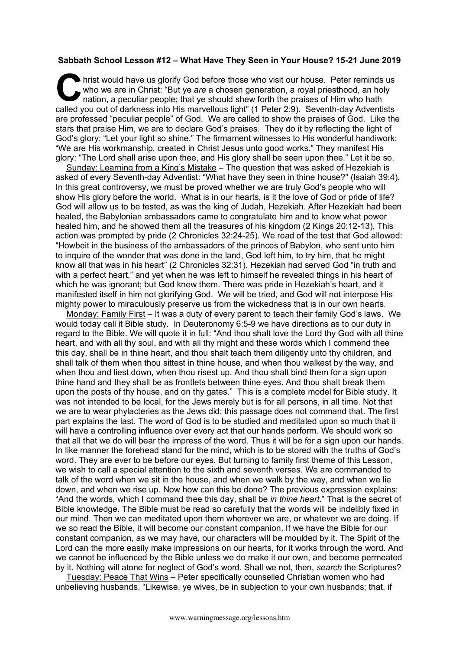## **Sabbath School Lesson #12 – What Have They Seen in Your House? 15-21 June 2019**

hrist would have us glorify God before those who visit our house. Peter reminds us who we are in Christ: "But ye *are* a chosen generation, a royal priesthood, an holy nation, a peculiar people; that ye should shew forth the praises of Him who hath called you out of darkness into His marvellous light" (1 Peter 2:9). Seventh-day Adventists are professed "peculiar people" of God. We are called to show the praises of God. Like the stars that praise Him, we are to declare God's praises. They do it by reflecting the light of God's glory: "Let your light so shine." The firmament witnesses to His wonderful handiwork: "We are His workmanship, created in Christ Jesus unto good works." They manifest His glory: "The Lord shall arise upon thee, and His glory shall be seen upon thee." Let it be so. C hris

Sunday: Learning from a King's Mistake – The question that was asked of Hezekiah is asked of every Seventh-day Adventist: "What have they seen in thine house?" (Isaiah 39:4). In this great controversy, we must be proved whether we are truly God's people who will show His glory before the world. What is in our hearts, is it the love of God or pride of life? God will allow us to be tested, as was the king of Judah, Hezekiah. After Hezekiah had been healed, the Babylonian ambassadors came to congratulate him and to know what power healed him, and he showed them all the treasures of his kingdom (2 Kings 20:12-13). This action was prompted by pride (2 Chronicles 32:24-25). We read of the test that God allowed: "Howbeit in the business of the ambassadors of the princes of Babylon, who sent unto him to inquire of the wonder that was done in the land, God left him, to try him, that he might know all that was in his heart" (2 Chronicles 32:31). Hezekiah had served God "in truth and with a perfect heart." and yet when he was left to himself he revealed things in his heart of which he was ignorant; but God knew them. There was pride in Hezekiah's heart, and it manifested itself in him not glorifying God. We will be tried, and God will not interpose His mighty power to miraculously preserve us from the wickedness that is in our own hearts.

Monday: Family First – It was a duty of every parent to teach their family God's laws. We would today call it Bible study. In Deuteronomy 6:5-9 we have directions as to our duty in regard to the Bible. We will quote it in full: "And thou shalt love the Lord thy God with all thine heart, and with all thy soul, and with all thy might and these words which I commend thee this day, shall be in thine heart, and thou shalt teach them diligently unto thy children, and shall talk of them when thou sittest in thine house, and when thou walkest by the way, and when thou and liest down, when thou risest up. And thou shalt bind them for a sign upon thine hand and they shall be as frontlets between thine eyes. And thou shalt break them upon the posts of thy house, and on thy gates." This is a complete model for Bible study. It was not intended to be local, for the Jews merely but is for all persons, in all time. Not that we are to wear phylacteries as the Jews did; this passage does not command that. The first part explains the last. The word of God is to be studied and meditated upon so much that it will have a controlling influence over every act that our hands perform. We should work so that all that we do will bear the impress of the word. Thus it will be for a sign upon our hands. In like manner the forehead stand for the mind, which is to be stored with the truths of God's word. They are ever to be before our eyes. But turning to family first theme of this Lesson, we wish to call a special attention to the sixth and seventh verses. We are commanded to talk of the word when we sit in the house, and when we walk by the way, and when we lie down, and when we rise up. Now how can this be done? The previous expression explains: "And the words, which I command thee this day, shall be *in thine heart*." That is the secret of Bible knowledge. The Bible must be read so carefully that the words will be indelibly fixed in our mind. Then we can meditated upon them wherever we are, or whatever we are doing. If we so read the Bible, it will become our constant companion. If we have the Bible for our constant companion, as we may have, our characters will be moulded by it. The Spirit of the Lord can the more easily make impressions on our hearts, for it works through the word. And we cannot be influenced by the Bible unless we do make it our own, and become permeated by it. Nothing will atone for neglect of God's word. Shall we not, then, *search* the Scriptures?

Tuesday: Peace That Wins – Peter specifically counselled Christian women who had unbelieving husbands. "Likewise, ye wives, be in subjection to your own husbands; that, if